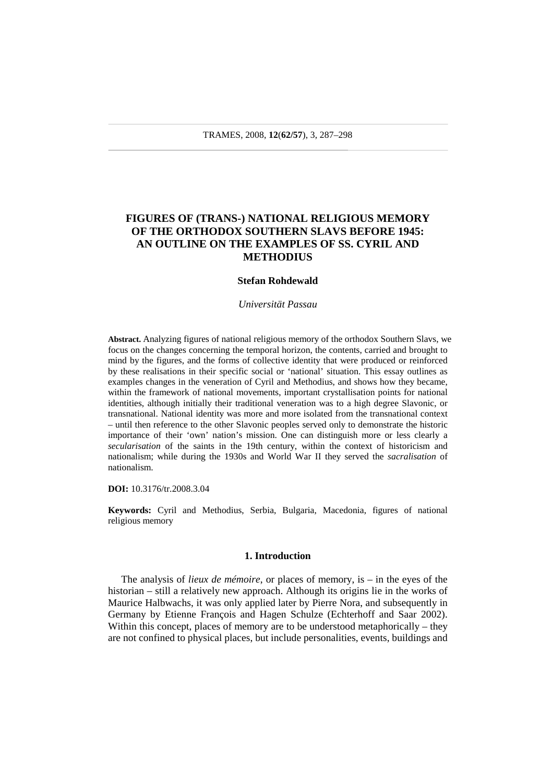# **FIGURES OF (TRANS-) NATIONAL RELIGIOUS MEMORY OF THE ORTHODOX SOUTHERN SLAVS BEFORE 1945: AN OUTLINE ON THE EXAMPLES OF SS. CYRIL AND METHODIUS**

#### **Stefan Rohdewald**

*Universität Passau* 

**Abstract.** Analyzing figures of national religious memory of the orthodox Southern Slavs, we focus on the changes concerning the temporal horizon, the contents, carried and brought to mind by the figures, and the forms of collective identity that were produced or reinforced by these realisations in their specific social or 'national' situation. This essay outlines as examples changes in the veneration of Cyril and Methodius, and shows how they became, within the framework of national movements, important crystallisation points for national identities, although initially their traditional veneration was to a high degree Slavonic, or transnational. National identity was more and more isolated from the transnational context – until then reference to the other Slavonic peoples served only to demonstrate the historic importance of their 'own' nation's mission. One can distinguish more or less clearly a *secularisation* of the saints in the 19th century, within the context of historicism and nationalism; while during the 1930s and World War II they served the *sacralisation* of nationalism.

### **DOI:** 10.3176/tr.2008.3.04

**Keywords:** Cyril and Methodius, Serbia, Bulgaria, Macedonia, figures of national religious memory

#### **1. Introduction**

The analysis of *lieux de mémoire*, or places of memory, is – in the eyes of the historian – still a relatively new approach. Although its origins lie in the works of Maurice Halbwachs, it was only applied later by Pierre Nora, and subsequently in Germany by Etienne François and Hagen Schulze (Echterhoff and Saar 2002). Within this concept, places of memory are to be understood metaphorically – they are not confined to physical places, but include personalities, events, buildings and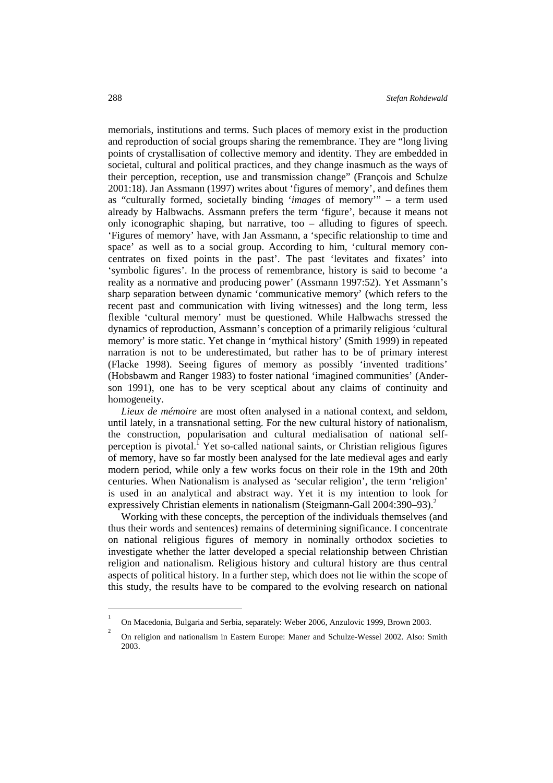memorials, institutions and terms. Such places of memory exist in the production and reproduction of social groups sharing the remembrance. They are "long living points of crystallisation of collective memory and identity. They are embedded in societal, cultural and political practices, and they change inasmuch as the ways of their perception, reception, use and transmission change" (François and Schulze 2001:18). Jan Assmann (1997) writes about 'figures of memory', and defines them as "culturally formed, societally binding '*images* of memory'" – a term used already by Halbwachs. Assmann prefers the term 'figure', because it means not only iconographic shaping, but narrative, too – alluding to figures of speech. 'Figures of memory' have, with Jan Assmann, a 'specific relationship to time and space' as well as to a social group. According to him, 'cultural memory concentrates on fixed points in the past'. The past 'levitates and fixates' into 'symbolic figures'. In the process of remembrance, history is said to become 'a reality as a normative and producing power' (Assmann 1997:52). Yet Assmann's sharp separation between dynamic 'communicative memory' (which refers to the recent past and communication with living witnesses) and the long term, less flexible 'cultural memory' must be questioned. While Halbwachs stressed the dynamics of reproduction, Assmann's conception of a primarily religious 'cultural memory' is more static. Yet change in 'mythical history' (Smith 1999) in repeated narration is not to be underestimated, but rather has to be of primary interest (Flacke 1998). Seeing figures of memory as possibly 'invented traditions' (Hobsbawm and Ranger 1983) to foster national 'imagined communities' (Anderson 1991), one has to be very sceptical about any claims of continuity and homogeneity.

*Lieux de mémoire* are most often analysed in a national context, and seldom, until lately, in a transnational setting. For the new cultural history of nationalism, the construction, popularisation and cultural medialisation of national selfperception is pivotal.<sup>1</sup> Yet so-called national saints, or Christian religious figures of memory, have so far mostly been analysed for the late medieval ages and early modern period, while only a few works focus on their role in the 19th and 20th centuries. When Nationalism is analysed as 'secular religion', the term 'religion' is used in an analytical and abstract way. Yet it is my intention to look for expressively Christian elements in nationalism (Steigmann-Gall 2004:390–93).<sup>2</sup>

Working with these concepts, the perception of the individuals themselves (and thus their words and sentences) remains of determining significance. I concentrate on national religious figures of memory in nominally orthodox societies to investigate whether the latter developed a special relationship between Christian religion and nationalism. Religious history and cultural history are thus central aspects of political history. In a further step, which does not lie within the scope of this study, the results have to be compared to the evolving research on national

 $\overline{a}$ 

<sup>1</sup> On Macedonia, Bulgaria and Serbia, separately: Weber 2006, Anzulovic 1999, Brown 2003.

<sup>2</sup> On religion and nationalism in Eastern Europe: Maner and Schulze-Wessel 2002. Also: Smith 2003.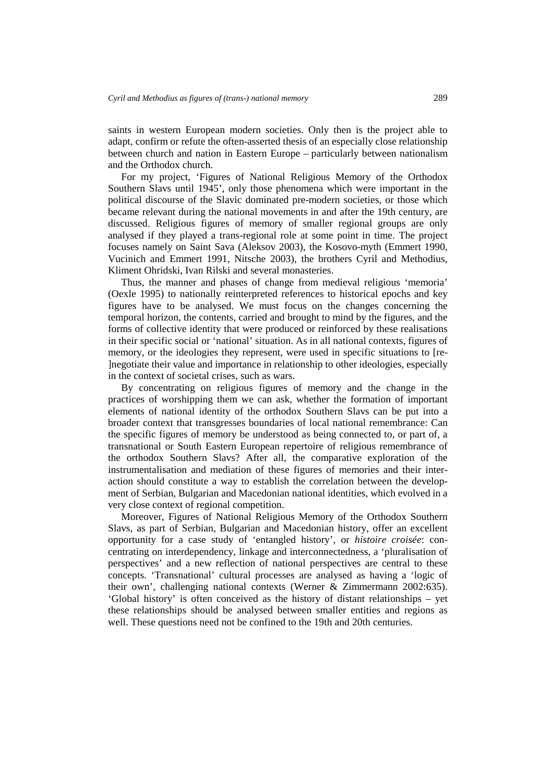saints in western European modern societies. Only then is the project able to adapt, confirm or refute the often-asserted thesis of an especially close relationship between church and nation in Eastern Europe – particularly between nationalism and the Orthodox church.

For my project, 'Figures of National Religious Memory of the Orthodox Southern Slavs until 1945', only those phenomena which were important in the political discourse of the Slavic dominated pre-modern societies, or those which became relevant during the national movements in and after the 19th century, are discussed. Religious figures of memory of smaller regional groups are only analysed if they played a trans-regional role at some point in time. The project focuses namely on Saint Sava (Aleksov 2003), the Kosovo-myth (Emmert 1990, Vucinich and Emmert 1991, Nitsche 2003), the brothers Cyril and Methodius, Kliment Ohridski, Ivan Rilski and several monasteries.

Thus, the manner and phases of change from medieval religious 'memoria' (Oexle 1995) to nationally reinterpreted references to historical epochs and key figures have to be analysed. We must focus on the changes concerning the temporal horizon, the contents, carried and brought to mind by the figures, and the forms of collective identity that were produced or reinforced by these realisations in their specific social or 'national' situation. As in all national contexts, figures of memory, or the ideologies they represent, were used in specific situations to [re- ]negotiate their value and importance in relationship to other ideologies, especially in the context of societal crises, such as wars.

By concentrating on religious figures of memory and the change in the practices of worshipping them we can ask, whether the formation of important elements of national identity of the orthodox Southern Slavs can be put into a broader context that transgresses boundaries of local national remembrance: Can the specific figures of memory be understood as being connected to, or part of, a transnational or South Eastern European repertoire of religious remembrance of the orthodox Southern Slavs? After all, the comparative exploration of the instrumentalisation and mediation of these figures of memories and their interaction should constitute a way to establish the correlation between the development of Serbian, Bulgarian and Macedonian national identities, which evolved in a very close context of regional competition.

Moreover, Figures of National Religious Memory of the Orthodox Southern Slavs, as part of Serbian, Bulgarian and Macedonian history, offer an excellent opportunity for a case study of 'entangled history', or *histoire croisée*: concentrating on interdependency, linkage and interconnectedness, a 'pluralisation of perspectives' and a new reflection of national perspectives are central to these concepts. 'Transnational' cultural processes are analysed as having a 'logic of their own', challenging national contexts (Werner & Zimmermann 2002:635). 'Global history' is often conceived as the history of distant relationships – yet these relationships should be analysed between smaller entities and regions as well. These questions need not be confined to the 19th and 20th centuries.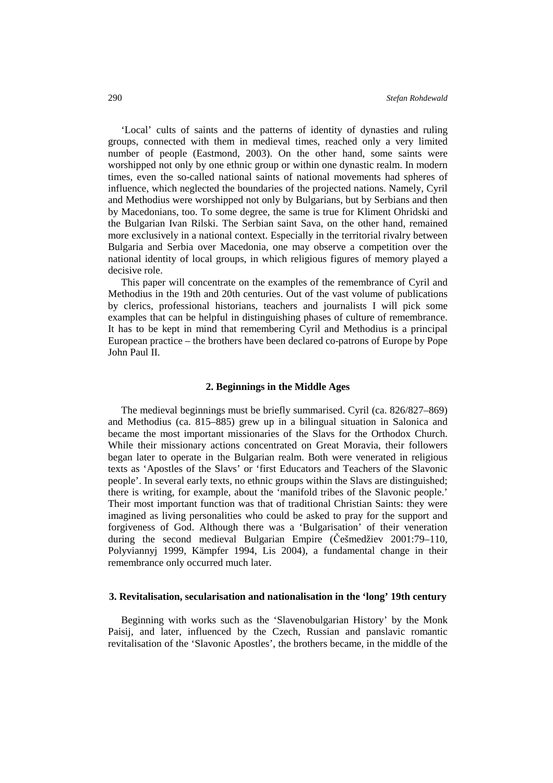'Local' cults of saints and the patterns of identity of dynasties and ruling groups, connected with them in medieval times, reached only a very limited number of people (Eastmond, 2003). On the other hand, some saints were worshipped not only by one ethnic group or within one dynastic realm. In modern times, even the so-called national saints of national movements had spheres of influence, which neglected the boundaries of the projected nations. Namely, Cyril and Methodius were worshipped not only by Bulgarians, but by Serbians and then by Macedonians, too. To some degree, the same is true for Kliment Ohridski and the Bulgarian Ivan Rilski. The Serbian saint Sava, on the other hand, remained more exclusively in a national context. Especially in the territorial rivalry between Bulgaria and Serbia over Macedonia, one may observe a competition over the national identity of local groups, in which religious figures of memory played a decisive role.

This paper will concentrate on the examples of the remembrance of Cyril and Methodius in the 19th and 20th centuries. Out of the vast volume of publications by clerics, professional historians, teachers and journalists I will pick some examples that can be helpful in distinguishing phases of culture of remembrance. It has to be kept in mind that remembering Cyril and Methodius is a principal European practice – the brothers have been declared co-patrons of Europe by Pope John Paul II.

### **2. Beginnings in the Middle Ages**

The medieval beginnings must be briefly summarised. Cyril (ca. 826/827–869) and Methodius (ca. 815–885) grew up in a bilingual situation in Salonica and became the most important missionaries of the Slavs for the Orthodox Church. While their missionary actions concentrated on Great Moravia, their followers began later to operate in the Bulgarian realm. Both were venerated in religious texts as 'Apostles of the Slavs' or 'first Educators and Teachers of the Slavonic people'. In several early texts, no ethnic groups within the Slavs are distinguished; there is writing, for example, about the 'manifold tribes of the Slavonic people.' Their most important function was that of traditional Christian Saints: they were imagined as living personalities who could be asked to pray for the support and forgiveness of God. Although there was a 'Bulgarisation' of their veneration during the second medieval Bulgarian Empire (Češmedžiev 2001:79–110, Polyviannyj 1999, Kämpfer 1994, Lis 2004), a fundamental change in their remembrance only occurred much later.

## **3. Revitalisation, secularisation and nationalisation in the 'long' 19th century**

Beginning with works such as the 'Slavenobulgarian History' by the Monk Paisij, and later, influenced by the Czech, Russian and panslavic romantic revitalisation of the 'Slavonic Apostles', the brothers became, in the middle of the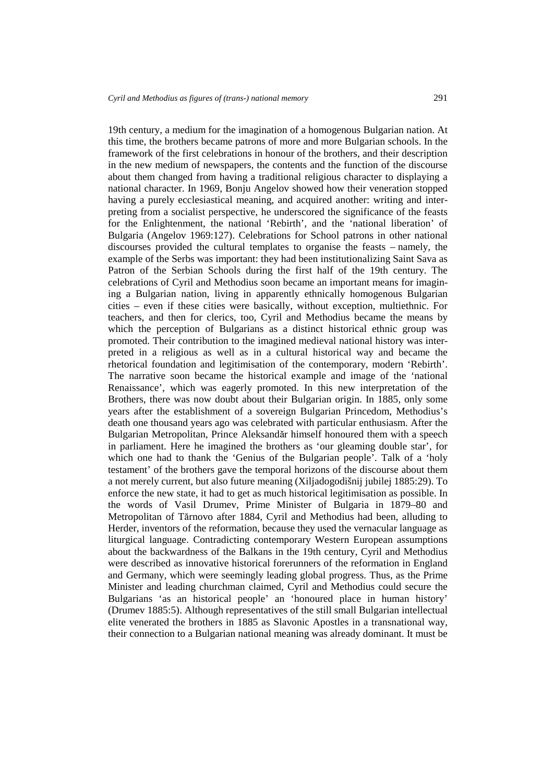19th century, a medium for the imagination of a homogenous Bulgarian nation. At this time, the brothers became patrons of more and more Bulgarian schools. In the framework of the first celebrations in honour of the brothers, and their description in the new medium of newspapers, the contents and the function of the discourse about them changed from having a traditional religious character to displaying a national character. In 1969, Bonju Angelov showed how their veneration stopped having a purely ecclesiastical meaning, and acquired another: writing and interpreting from a socialist perspective, he underscored the significance of the feasts for the Enlightenment, the national 'Rebirth', and the 'national liberation' of Bulgaria (Angelov 1969:127). Celebrations for School patrons in other national discourses provided the cultural templates to organise the feasts – namely, the example of the Serbs was important: they had been institutionalizing Saint Sava as Patron of the Serbian Schools during the first half of the 19th century. The celebrations of Cyril and Methodius soon became an important means for imagining a Bulgarian nation, living in apparently ethnically homogenous Bulgarian cities – even if these cities were basically, without exception, multiethnic. For teachers, and then for clerics, too, Cyril and Methodius became the means by which the perception of Bulgarians as a distinct historical ethnic group was promoted. Their contribution to the imagined medieval national history was interpreted in a religious as well as in a cultural historical way and became the rhetorical foundation and legitimisation of the contemporary, modern 'Rebirth'. The narrative soon became the historical example and image of the 'national Renaissance', which was eagerly promoted. In this new interpretation of the Brothers, there was now doubt about their Bulgarian origin. In 1885, only some years after the establishment of a sovereign Bulgarian Princedom, Methodius's death one thousand years ago was celebrated with particular enthusiasm. After the Bulgarian Metropolitan, Prince Aleksandăr himself honoured them with a speech in parliament. Here he imagined the brothers as 'our gleaming double star', for which one had to thank the 'Genius of the Bulgarian people'. Talk of a 'holy testament' of the brothers gave the temporal horizons of the discourse about them a not merely current, but also future meaning (Xiljadogodišnij jubilej 1885:29). To enforce the new state, it had to get as much historical legitimisation as possible. In the words of Vasil Drumev, Prime Minister of Bulgaria in 1879–80 and Metropolitan of Tărnovo after 1884, Cyril and Methodius had been, alluding to Herder, inventors of the reformation, because they used the vernacular language as liturgical language. Contradicting contemporary Western European assumptions about the backwardness of the Balkans in the 19th century, Cyril and Methodius were described as innovative historical forerunners of the reformation in England and Germany, which were seemingly leading global progress. Thus, as the Prime Minister and leading churchman claimed, Cyril and Methodius could secure the Bulgarians 'as an historical people' an 'honoured place in human history' (Drumev 1885:5). Although representatives of the still small Bulgarian intellectual elite venerated the brothers in 1885 as Slavonic Apostles in a transnational way, their connection to a Bulgarian national meaning was already dominant. It must be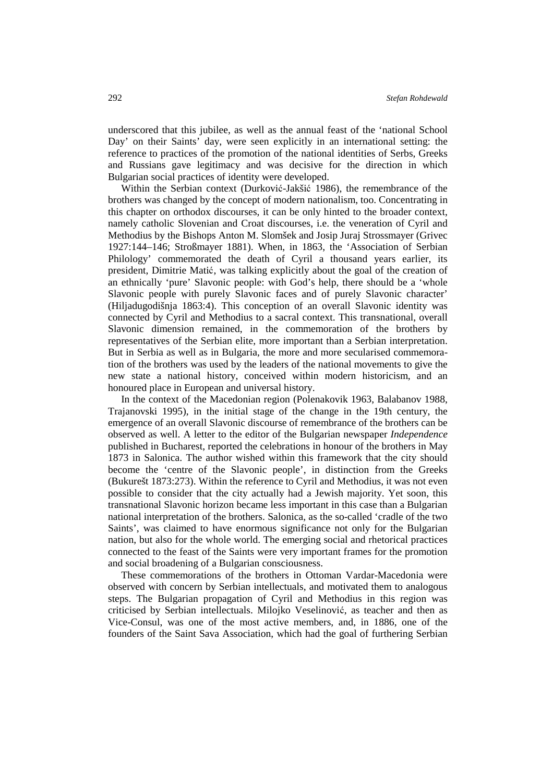underscored that this jubilee, as well as the annual feast of the 'national School Day' on their Saints' day, were seen explicitly in an international setting: the reference to practices of the promotion of the national identities of Serbs, Greeks and Russians gave legitimacy and was decisive for the direction in which Bulgarian social practices of identity were developed.

Within the Serbian context (Durković-Jakšić 1986), the remembrance of the brothers was changed by the concept of modern nationalism, too. Concentrating in this chapter on orthodox discourses, it can be only hinted to the broader context, namely catholic Slovenian and Croat discourses, i.e. the veneration of Cyril and Methodius by the Bishops Anton M. Slomšek and Josip Juraj Strossmayer (Grivec 1927:144–146; Stroßmayer 1881). When, in 1863, the 'Association of Serbian Philology' commemorated the death of Cyril a thousand years earlier, its president, Dimitrie Matić, was talking explicitly about the goal of the creation of an ethnically 'pure' Slavonic people: with God's help, there should be a 'whole Slavonic people with purely Slavonic faces and of purely Slavonic character' (Hiljadugodišnja 1863:4). This conception of an overall Slavonic identity was connected by Cyril and Methodius to a sacral context. This transnational, overall Slavonic dimension remained, in the commemoration of the brothers by representatives of the Serbian elite, more important than a Serbian interpretation. But in Serbia as well as in Bulgaria, the more and more secularised commemoration of the brothers was used by the leaders of the national movements to give the new state a national history, conceived within modern historicism, and an honoured place in European and universal history.

In the context of the Macedonian region (Polenakovik 1963, Balabanov 1988, Trajanovski 1995), in the initial stage of the change in the 19th century, the emergence of an overall Slavonic discourse of remembrance of the brothers can be observed as well. A letter to the editor of the Bulgarian newspaper *Independence* published in Bucharest, reported the celebrations in honour of the brothers in May 1873 in Salonica. The author wished within this framework that the city should become the 'centre of the Slavonic people', in distinction from the Greeks (Bukurešt 1873:273). Within the reference to Cyril and Methodius, it was not even possible to consider that the city actually had a Jewish majority. Yet soon, this transnational Slavonic horizon became less important in this case than a Bulgarian national interpretation of the brothers. Salonica, as the so-called 'cradle of the two Saints', was claimed to have enormous significance not only for the Bulgarian nation, but also for the whole world. The emerging social and rhetorical practices connected to the feast of the Saints were very important frames for the promotion and social broadening of a Bulgarian consciousness.

These commemorations of the brothers in Ottoman Vardar-Macedonia were observed with concern by Serbian intellectuals, and motivated them to analogous steps. The Bulgarian propagation of Cyril and Methodius in this region was criticised by Serbian intellectuals. Milojko Veselinović, as teacher and then as Vice-Consul, was one of the most active members, and, in 1886, one of the founders of the Saint Sava Association, which had the goal of furthering Serbian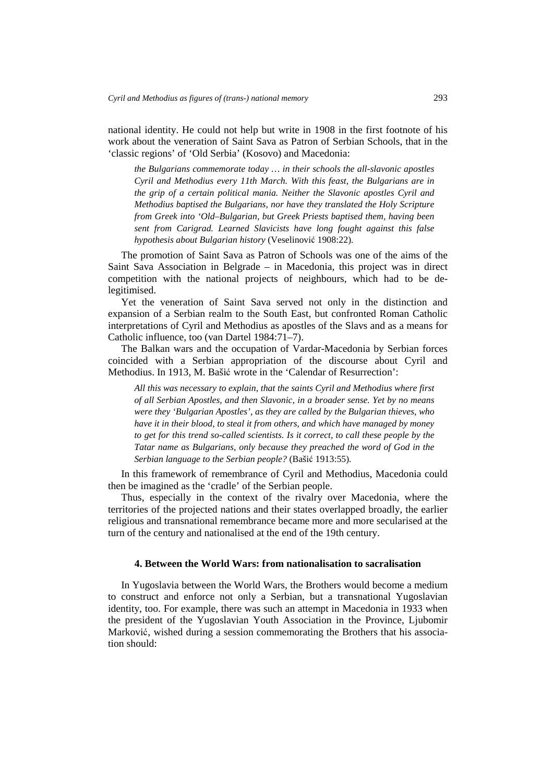national identity. He could not help but write in 1908 in the first footnote of his work about the veneration of Saint Sava as Patron of Serbian Schools, that in the 'classic regions' of 'Old Serbia' (Kosovo) and Macedonia:

*the Bulgarians commemorate today … in their schools the all-slavonic apostles Cyril and Methodius every 11th March. With this feast, the Bulgarians are in the grip of a certain political mania. Neither the Slavonic apostles Cyril and Methodius baptised the Bulgarians, nor have they translated the Holy Scripture from Greek into 'Old–Bulgarian, but Greek Priests baptised them, having been sent from Carigrad. Learned Slavicists have long fought against this false hypothesis about Bulgarian history* (Veselinović 1908:22)*.* 

The promotion of Saint Sava as Patron of Schools was one of the aims of the Saint Sava Association in Belgrade – in Macedonia, this project was in direct competition with the national projects of neighbours, which had to be delegitimised.

Yet the veneration of Saint Sava served not only in the distinction and expansion of a Serbian realm to the South East, but confronted Roman Catholic interpretations of Cyril and Methodius as apostles of the Slavs and as a means for Catholic influence, too (van Dartel 1984:71–7).

The Balkan wars and the occupation of Vardar-Macedonia by Serbian forces coincided with a Serbian appropriation of the discourse about Cyril and Methodius. In 1913, M. Bašić wrote in the 'Calendar of Resurrection':

*All this was necessary to explain, that the saints Cyril and Methodius where first of all Serbian Apostles, and then Slavonic, in a broader sense. Yet by no means were they 'Bulgarian Apostles', as they are called by the Bulgarian thieves, who have it in their blood, to steal it from others, and which have managed by money to get for this trend so-called scientists. Is it correct, to call these people by the Tatar name as Bulgarians, only because they preached the word of God in the Serbian language to the Serbian people?* (Bašić 1913:55)*.* 

In this framework of remembrance of Cyril and Methodius, Macedonia could then be imagined as the 'cradle' of the Serbian people.

Thus, especially in the context of the rivalry over Macedonia, where the territories of the projected nations and their states overlapped broadly, the earlier religious and transnational remembrance became more and more secularised at the turn of the century and nationalised at the end of the 19th century.

## **4. Between the World Wars: from nationalisation to sacralisation**

In Yugoslavia between the World Wars, the Brothers would become a medium to construct and enforce not only a Serbian, but a transnational Yugoslavian identity, too. For example, there was such an attempt in Macedonia in 1933 when the president of the Yugoslavian Youth Association in the Province, Ljubomir Marković, wished during a session commemorating the Brothers that his association should: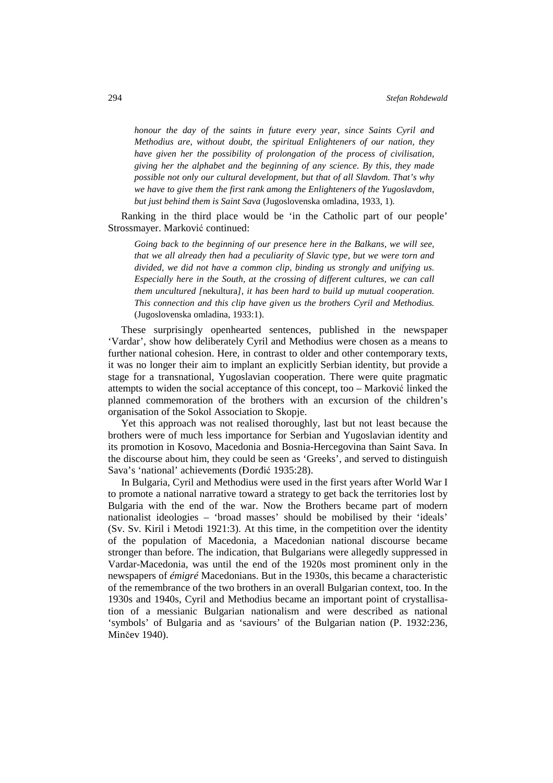*honour the day of the saints in future every year, since Saints Cyril and Methodius are, without doubt, the spiritual Enlighteners of our nation, they have given her the possibility of prolongation of the process of civilisation, giving her the alphabet and the beginning of any science. By this, they made possible not only our cultural development, but that of all Slavdom. That's why we have to give them the first rank among the Enlighteners of the Yugoslavdom, but just behind them is Saint Sava* (Jugoslovenska omladina, 1933, 1)*.* 

Ranking in the third place would be 'in the Catholic part of our people' Strossmayer. Marković continued:

*Going back to the beginning of our presence here in the Balkans, we will see, that we all already then had a peculiarity of Slavic type, but we were torn and divided, we did not have a common clip, binding us strongly and unifying us. Especially here in the South, at the crossing of different cultures, we can call them uncultured [*nekultura*], it has been hard to build up mutual cooperation. This connection and this clip have given us the brothers Cyril and Methodius.* (Jugoslovenska omladina, 1933:1).

These surprisingly openhearted sentences, published in the newspaper 'Vardar', show how deliberately Cyril and Methodius were chosen as a means to further national cohesion. Here, in contrast to older and other contemporary texts, it was no longer their aim to implant an explicitly Serbian identity, but provide a stage for a transnational, Yugoslavian cooperation. There were quite pragmatic attempts to widen the social acceptance of this concept, too – Marković linked the planned commemoration of the brothers with an excursion of the children's organisation of the Sokol Association to Skopje.

Yet this approach was not realised thoroughly, last but not least because the brothers were of much less importance for Serbian and Yugoslavian identity and its promotion in Kosovo, Macedonia and Bosnia-Hercegovina than Saint Sava. In the discourse about him, they could be seen as 'Greeks', and served to distinguish Sava's 'national' achievements (Đorđić 1935:28).

In Bulgaria, Cyril and Methodius were used in the first years after World War I to promote a national narrative toward a strategy to get back the territories lost by Bulgaria with the end of the war. Now the Brothers became part of modern nationalist ideologies – 'broad masses' should be mobilised by their 'ideals' (Sv. Sv. Kiril i Metodi 1921:3). At this time, in the competition over the identity of the population of Macedonia, a Macedonian national discourse became stronger than before. The indication, that Bulgarians were allegedly suppressed in Vardar-Macedonia, was until the end of the 1920s most prominent only in the newspapers of *émigré* Macedonians. But in the 1930s, this became a characteristic of the remembrance of the two brothers in an overall Bulgarian context, too. In the 1930s and 1940s, Cyril and Methodius became an important point of crystallisation of a messianic Bulgarian nationalism and were described as national 'symbols' of Bulgaria and as 'saviours' of the Bulgarian nation (P. 1932:236, Minčev 1940).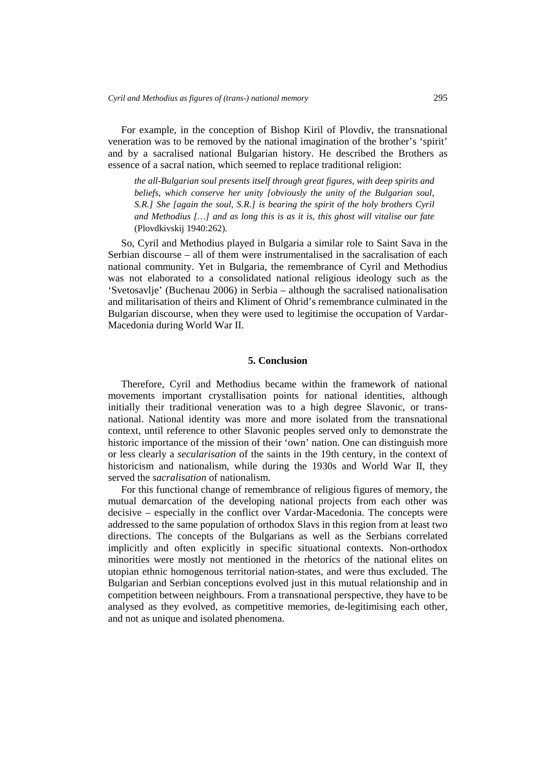For example, in the conception of Bishop Kiril of Plovdiv, the transnational veneration was to be removed by the national imagination of the brother's 'spirit' and by a sacralised national Bulgarian history. He described the Brothers as essence of a sacral nation, which seemed to replace traditional religion:

*the all-Bulgarian soul presents itself through great figures, with deep spirits and beliefs, which conserve her unity [obviously the unity of the Bulgarian soul, S.R.] She [again the soul, S.R.] is bearing the spirit of the holy brothers Cyril and Methodius […] and as long this is as it is, this ghost will vitalise our fate*  (Plovdkivskij 1940:262)*.* 

So, Cyril and Methodius played in Bulgaria a similar role to Saint Sava in the Serbian discourse – all of them were instrumentalised in the sacralisation of each national community. Yet in Bulgaria, the remembrance of Cyril and Methodius was not elaborated to a consolidated national religious ideology such as the 'Svetosavlje' (Buchenau 2006) in Serbia – although the sacralised nationalisation and militarisation of theirs and Kliment of Ohrid's remembrance culminated in the Bulgarian discourse, when they were used to legitimise the occupation of Vardar-Macedonia during World War II.

## **5. Conclusion**

Therefore, Cyril and Methodius became within the framework of national movements important crystallisation points for national identities, although initially their traditional veneration was to a high degree Slavonic, or transnational. National identity was more and more isolated from the transnational context, until reference to other Slavonic peoples served only to demonstrate the historic importance of the mission of their 'own' nation. One can distinguish more or less clearly a *secularisation* of the saints in the 19th century, in the context of historicism and nationalism, while during the 1930s and World War II, they served the *sacralisation* of nationalism.

For this functional change of remembrance of religious figures of memory, the mutual demarcation of the developing national projects from each other was decisive – especially in the conflict over Vardar-Macedonia. The concepts were addressed to the same population of orthodox Slavs in this region from at least two directions. The concepts of the Bulgarians as well as the Serbians correlated implicitly and often explicitly in specific situational contexts. Non-orthodox minorities were mostly not mentioned in the rhetorics of the national elites on utopian ethnic homogenous territorial nation-states, and were thus excluded. The Bulgarian and Serbian conceptions evolved just in this mutual relationship and in competition between neighbours. From a transnational perspective, they have to be analysed as they evolved, as competitive memories, de-legitimising each other, and not as unique and isolated phenomena.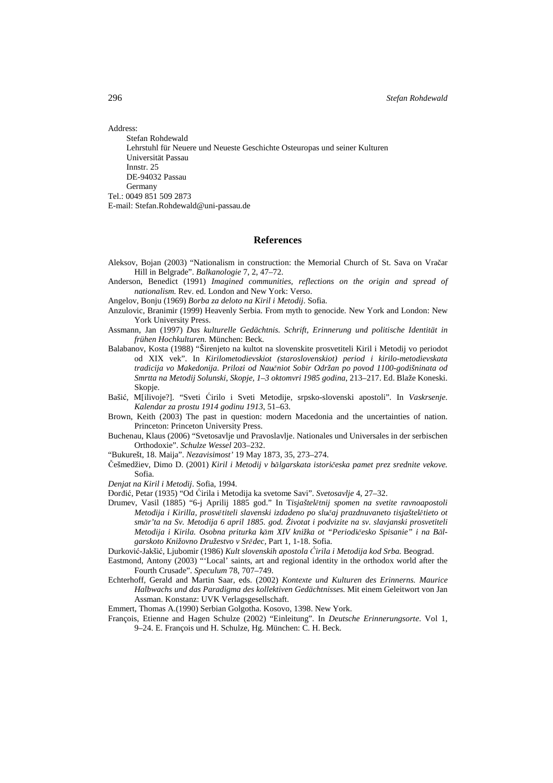Address:

Stefan Rohdewald Lehrstuhl für Neuere und Neueste Geschichte Osteuropas und seiner Kulturen Universität Passau Innstr. 25 DE-94032 Passau Germany Tel.: 0049 851 509 2873 E-mail: Stefan.Rohdewald@uni-passau.de

## **References**

- Aleksov, Bojan (2003) "Nationalism in construction: the Memorial Church of St. Sava on Vračar Hill in Belgrade". *Balkanologie* 7, 2, 47–72.
- Anderson, Benedict (1991) *Imagined communities, reflections on the origin and spread of nationalism.* Rev. ed. London and New York: Verso.
- Angelov, Bonju (1969) *Borba za deloto na Kiril i Metodij*. Sofia.
- Anzulovic, Branimir (1999) Heavenly Serbia. From myth to genocide*.* New York and London: New York University Press.
- Assmann, Jan (1997) *Das kulturelle Gedächtnis. Schrift, Erinnerung und politische Identität in frühen Hochkulturen.* München: Beck.
- Balabanov, Kosta (1988) "Širenjeto na kultot na slovenskite prosvetiteli Kiril i Metodij vo periodot od XIX vek". In *Kirilometodievskiot (staroslovenskiot) period i kirilo-metodievskata tradicija vo Makedonija. Prilozi od Nau*č*niot Sobir Održan po povod 1100-godišninata od Smrtta na Metodij Solunski, Skopje, 1–3 oktomvri 1985 godina*, 213–217. Ed. Blaže Koneski. Skopje.
- Bašić, M[ilivoje?]. "Sveti Ćirilo i Sveti Metodije, srpsko-slovenski apostoli". In *Vaskrsenje. Kalendar za prostu 1914 godinu 1913*, 51–63.
- Brown, Keith (2003) The past in question: modern Macedonia and the uncertainties of nation. Princeton: Princeton University Press.
- Buchenau, Klaus (2006) "Svetosavlje und Pravoslavlje. Nationales und Universales in der serbischen Orthodoxie". *Schulze Wessel* 203–232.
- "Bukurešt, 18. Maija". *Nezavisimost'* 19 May 1873, 35, 273–274.
- <sup>Č</sup>ešmedžiev, Dimo D. (2001) *Kiril i Metodij v b*ă*lgarskata istori*č*eska pamet prez srednite vekove.* Sofia.
- *Denjat na Kiril i Metodij*. Sofia, 1994.
- <sup>Đ</sup>orđić, Petar (1935) "Od Ćirila i Metodija ka svetome Savi". *Svetosavlje* 4, 27–32.
- Drumev, Vasil (1885) "6-j Aprilij 1885 god." In T*isjaštel*ě*tnij spomen na svetite ravnoapostoli Metodija i Kirilla, prosv*ě*titeli slavenski izdadeno po slu*č*aj prazdnuvaneto tisjaštel*ě*tieto ot sm*ă*r'ta na Sv. Metodija 6 april 1885. god. Životat i podvizite na sv. slavjanski prosvetiteli Metodija i Kirila. Osobna priturka k*ă*m XIV knižka ot "Periodi*č*esko Spisanie" i na B*ă*lgarskoto Knižovno Družestvo v Sr*ě*dec*, Part 1, 1-18. Sofia.
- Durković-Jakšić, Ljubomir (1986) *Kult slovenskih apostola* Ć*irila i Metodija kod Srba.* Beograd.
- Eastmond, Antony (2003) "'Local' saints, art and regional identity in the orthodox world after the Fourth Crusade". *Speculum* 78, 707–749.
- Echterhoff, Gerald and Martin Saar, eds. (2002) *Kontexte und Kulturen des Erinnerns. Maurice Halbwachs und das Paradigma des kollektiven Gedächtnisses.* Mit einem Geleitwort von Jan Assman. Konstanz: UVK Verlagsgesellschaft.
- Emmert, Thomas A.(1990) Serbian Golgotha. Kosovo, 1398. New York.
- François, Etienne and Hagen Schulze (2002) "Einleitung". In *Deutsche Erinnerungsorte*. Vol 1, 9–24. E. François und H. Schulze, Hg. München: C. H. Beck.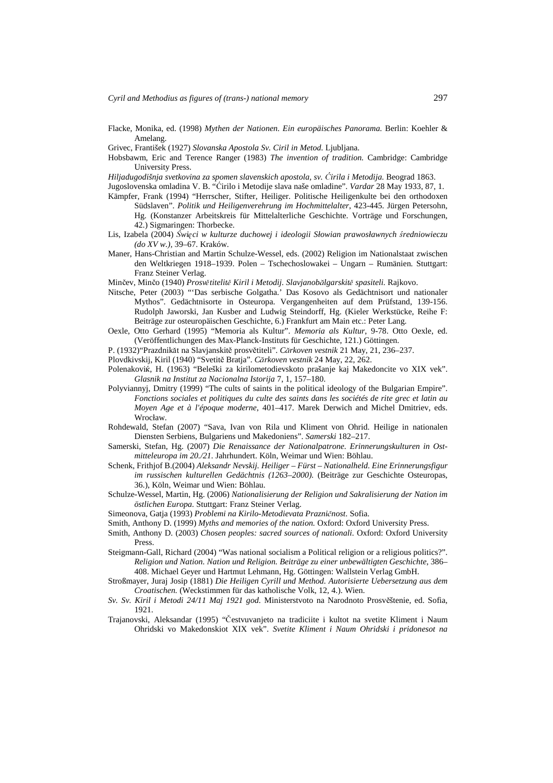- Flacke, Monika, ed. (1998) *Mythen der Nationen. Ein europäisches Panorama.* Berlin: Koehler & Amelang.
- Grivec, František (1927) *Slovanska Apostola Sv. Ciril in Metod.* Ljubljana.
- Hobsbawm, Eric and Terence Ranger (1983) *The invention of tradition.* Cambridge: Cambridge University Press.

*Hiljadugodišnja svetkovina za spomen slavenskich apostola, sv.* Ć*irila i Metodija.* Beograd 1863.

- Jugoslovenska omladina V. B. "Ćirilo i Metodije slava naše omladine". *Vardar* 28 May 1933, 87, 1.
- Kämpfer, Frank (1994) "Herrscher, Stifter, Heiliger. Politische Heiligenkulte bei den orthodoxen Südslaven". *Politik und Heiligenverehrung im Hochmittelalter*, 423-445*.* Jürgen Petersohn, Hg. (Konstanzer Arbeitskreis für Mittelalterliche Geschichte. Vorträge und Forschungen, 42.) Sigmaringen: Thorbecke.
- Lis, Izabela (2004) Ś*wi*ę*ci w kulturze duchowej i ideologii Słowian prawosławnych* ś*redniowieczu (do XV w.),* 39–67. Kraków.
- Maner, Hans-Christian and Martin Schulze-Wessel, eds. (2002) Religion im Nationalstaat zwischen den Weltkriegen 1918–1939. Polen – Tschechoslowakei – Ungarn – Rumänien*.* Stuttgart: Franz Steiner Verlag.

Minčev, Minčo (1940) *Prosv*ě*titelit*ě *Kiril i Metodij. Slavjanob*ă*lgarskit*ě *spasiteli.* Rajkovo.

- Nitsche, Peter (2003) "'Das serbische Golgatha.' Das Kosovo als Gedächtnisort und nationaler Mythos". Gedächtnisorte in Osteuropa. Vergangenheiten auf dem Prüfstand, 139-156. Rudolph Jaworski, Jan Kusber and Ludwig Steindorff, Hg. (Kieler Werkstücke, Reihe F: Beiträge zur osteuropäischen Geschichte, 6.) Frankfurt am Main etc.: Peter Lang.
- Oexle, Otto Gerhard (1995) "Memoria als Kultur". *Memoria als Kultur*, 9-78. Otto Oexle, ed. (Veröffentlichungen des Max-Planck-Instituts für Geschichte, 121.) Göttingen.
- P. (1932)"Prazdnikăt na Slavjanskitě prosvětiteli". *C*ă*rkoven vestnik* 21 May, 21, 236–237.
- Plovdkivskij, Kiril (1940) "Svetitě Bratja". *C*ă*rkoven vestnik* 24 May, 22, 262.
- Polenakoviќ, H. (1963) "Beleški za kirilometodievskoto prašanje kaj Makedoncite vo XIX vek". *Glasnik na Institut za Nacionalna Istorija* 7, 1, 157–180.
- Polyviannyj, Dmitry (1999) "The cults of saints in the political ideology of the Bulgarian Empire". *Fonctions sociales et politiques du culte des saints dans les sociétés de rite grec et latin au Moyen Age et à l'époque moderne*, 401–417. Marek Derwich and Michel Dmitriev, eds. Wrocław.
- Rohdewald, Stefan (2007) "Sava, Ivan von Rila und Kliment von Ohrid. Heilige in nationalen Diensten Serbiens, Bulgariens und Makedoniens". *Samerski* 182–217.
- Samerski, Stefan, Hg. (2007) *Die Renaissance der Nationalpatrone. Erinnerungskulturen in Ostmitteleuropa im 20./21.* Jahrhundert. Köln, Weimar und Wien: Böhlau.
- Schenk, Frithjof B.(2004) *Aleksandr Nevskij. Heiliger Fürst Nationalheld. Eine Erinnerungsfigur im russischen kulturellen Gedächtnis (1263–2000).* (Beiträge zur Geschichte Osteuropas, 36.), Köln, Weimar und Wien: Böhlau.
- Schulze-Wessel, Martin, Hg. (2006) *Nationalisierung der Religion und Sakralisierung der Nation im östlichen Europa.* Stuttgart: Franz Steiner Verlag.
- Simeonova, Gatja (1993) *Problemi na Kirilo-Metodievata Prazni*č*nost*. Sofia.
- Smith, Anthony D. (1999) *Myths and memories of the nation.* Oxford: Oxford University Press.
- Smith, Anthony D. (2003) *Chosen peoples: sacred sources of nationali.* Oxford: Oxford University Press.
- Steigmann-Gall, Richard (2004) "Was national socialism a Political religion or a religious politics?". *Religion und Nation. Nation und Religion. Beiträge zu einer unbewältigten Geschichte*, 386– 408. Michael Geyer und Hartmut Lehmann, Hg. Göttingen: Wallstein Verlag GmbH.
- Stroßmayer, Juraj Josip (1881) *Die Heiligen Cyrill und Method. Autorisierte Uebersetzung aus dem Croatischen.* (Weckstimmen für das katholische Volk, 12, 4.). Wien.
- *Sv. Sv. Kiril i Metodi 24/11 Maj 1921 god.* Ministerstvoto na Narodnoto Prosvěštenie, ed. Sofia, 1921.
- Trajanovski, Aleksandar (1995) "Čestvuvanjeto na tradiciite i kultot na svetite Kliment i Naum Ohridski vo Makedonskiot XIX vek". *Svetite Kliment i Naum Ohridski i pridonesot na*